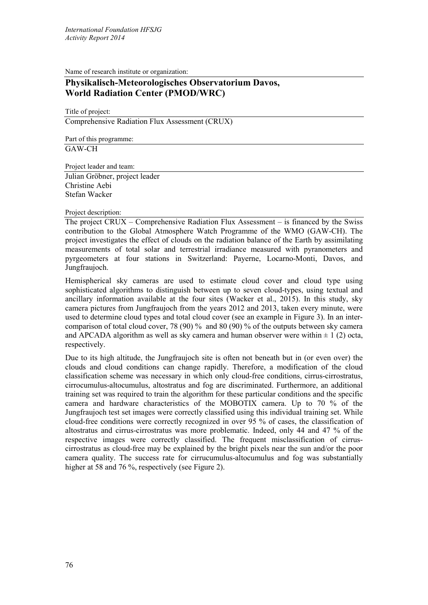Name of research institute or organization:

## **Physikalisch-Meteorologisches Observatorium Davos, World Radiation Center (PMOD/WRC)**

Title of project: Comprehensive Radiation Flux Assessment (CRUX)

Part of this programme: GAW-CH

Project leader and team:

Julian Gröbner, project leader Christine Aebi Stefan Wacker

## Project description:

The project CRUX – Comprehensive Radiation Flux Assessment – is financed by the Swiss contribution to the Global Atmosphere Watch Programme of the WMO (GAW-CH). The project investigates the effect of clouds on the radiation balance of the Earth by assimilating measurements of total solar and terrestrial irradiance measured with pyranometers and pyrgeometers at four stations in Switzerland: Payerne, Locarno-Monti, Davos, and Jungfraujoch.

Hemispherical sky cameras are used to estimate cloud cover and cloud type using sophisticated algorithms to distinguish between up to seven cloud-types, using textual and ancillary information available at the four sites (Wacker et al., 2015). In this study, sky camera pictures from Jungfraujoch from the years 2012 and 2013, taken every minute, were used to determine cloud types and total cloud cover (see an example in Figure 3). In an intercomparison of total cloud cover, 78 (90) % and 80 (90) % of the outputs between sky camera and APCADA algorithm as well as sky camera and human observer were within  $\pm 1$  (2) octa, respectively.

Due to its high altitude, the Jungfraujoch site is often not beneath but in (or even over) the clouds and cloud conditions can change rapidly. Therefore, a modification of the cloud classification scheme was necessary in which only cloud-free conditions, cirrus-cirrostratus, cirrocumulus-altocumulus, altostratus and fog are discriminated. Furthermore, an additional training set was required to train the algorithm for these particular conditions and the specific camera and hardware characteristics of the MOBOTIX camera. Up to 70 % of the Jungfraujoch test set images were correctly classified using this individual training set. While cloud-free conditions were correctly recognized in over 95 % of cases, the classification of altostratus and cirrus-cirrostratus was more problematic. Indeed, only 44 and 47 % of the respective images were correctly classified. The frequent misclassification of cirruscirrostratus as cloud-free may be explained by the bright pixels near the sun and/or the poor camera quality. The success rate for cirrucumulus-altocumulus and fog was substantially higher at 58 and 76 %, respectively (see Figure 2).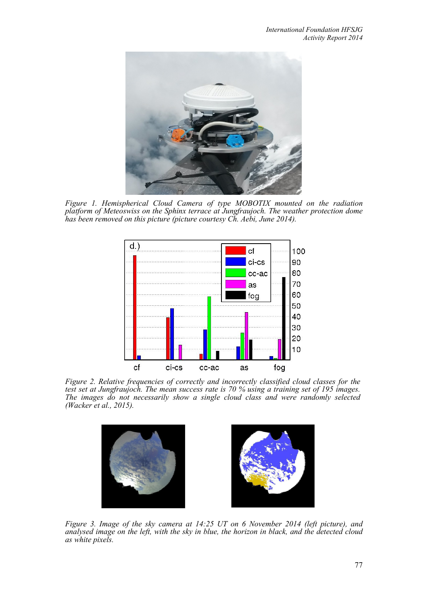

*Figure 1. Hemispherical Cloud Camera of type MOBOTIX mounted on the radiation platform of Meteoswiss on the Sphinx terrace at Jungfraujoch. The weather protection dome has been removed on this picture (picture courtesy Ch. Aebi, June 2014).*



*Figure 2. Relative frequencies of correctly and incorrectly classified cloud classes for the test set at Jungfraujoch. The mean success rate is 70 % using a training set of 195 images. The images do not necessarily show a single cloud class and were randomly selected (Wacker et al., 2015).*



*Figure 3. Image of the sky camera at 14:25 UT on 6 November 2014 (left picture), and analysed image on the left, with the sky in blue, the horizon in black, and the detected cloud as white pixels.*